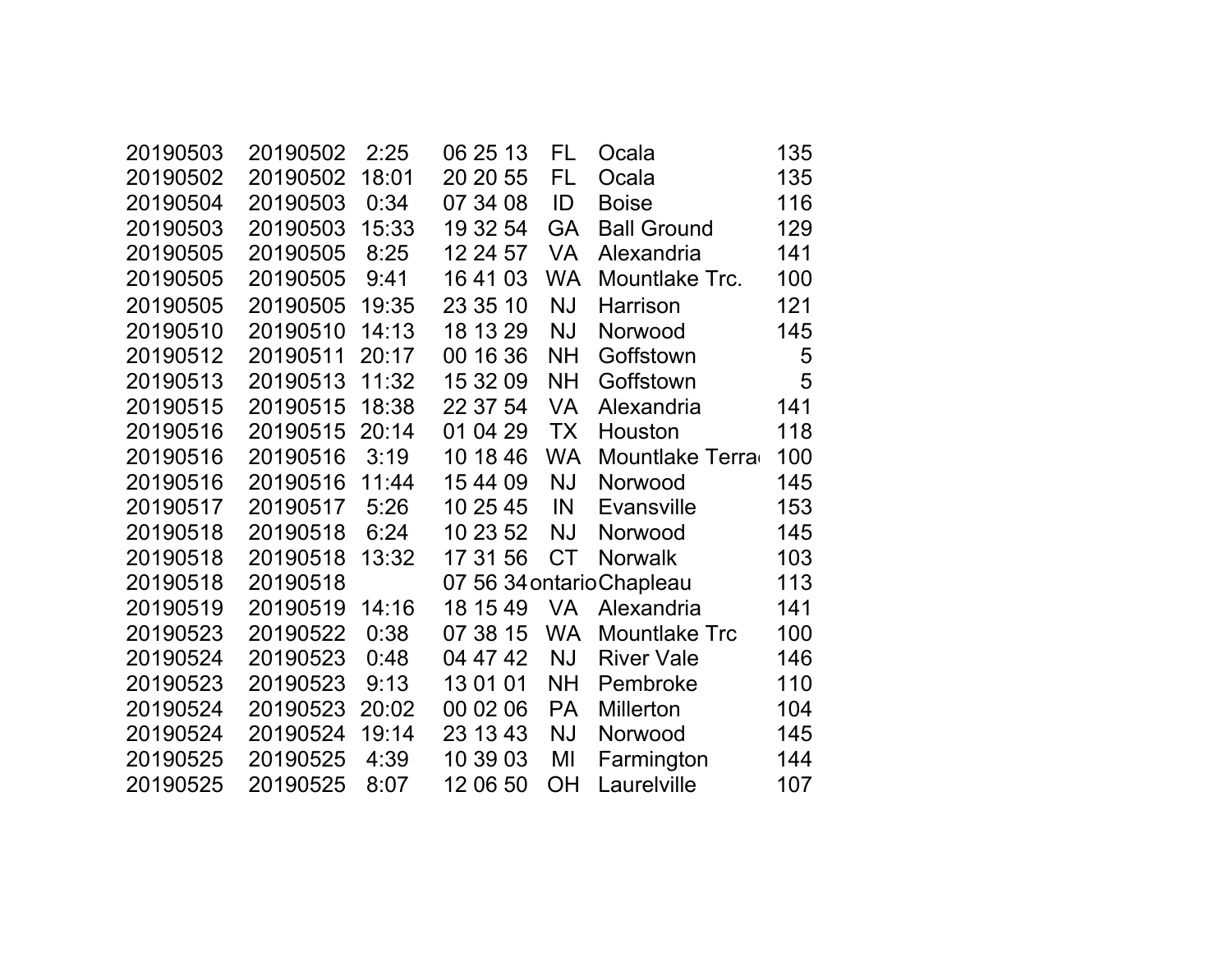| 20190503 | 20190502 | 2:25  | 06 25 13 | FL        | Ocala                     | 135 |
|----------|----------|-------|----------|-----------|---------------------------|-----|
| 20190502 | 20190502 | 18:01 | 20 20 55 | FL        | Ocala                     | 135 |
| 20190504 | 20190503 | 0:34  | 07 34 08 | ID        | <b>Boise</b>              | 116 |
| 20190503 | 20190503 | 15:33 | 19 32 54 | <b>GA</b> | <b>Ball Ground</b>        | 129 |
| 20190505 | 20190505 | 8:25  | 12 24 57 | <b>VA</b> | Alexandria                | 141 |
| 20190505 | 20190505 | 9:41  | 16 41 03 | <b>WA</b> | Mountlake Trc.            | 100 |
| 20190505 | 20190505 | 19:35 | 23 35 10 | <b>NJ</b> | Harrison                  | 121 |
| 20190510 | 20190510 | 14:13 | 18 13 29 | <b>NJ</b> | Norwood                   | 145 |
| 20190512 | 20190511 | 20:17 | 00 16 36 | <b>NH</b> | Goffstown                 | 5   |
| 20190513 | 20190513 | 11:32 | 15 32 09 | <b>NH</b> | Goffstown                 | 5   |
| 20190515 | 20190515 | 18:38 | 22 37 54 | <b>VA</b> | Alexandria                | 141 |
| 20190516 | 20190515 | 20:14 | 01 04 29 | <b>TX</b> | Houston                   | 118 |
| 20190516 | 20190516 | 3:19  | 10 18 46 | <b>WA</b> | Mountlake Terra           | 100 |
| 20190516 | 20190516 | 11:44 | 15 44 09 | <b>NJ</b> | Norwood                   | 145 |
| 20190517 | 20190517 | 5:26  | 10 25 45 | IN        | <b>Evansville</b>         | 153 |
| 20190518 | 20190518 | 6:24  | 10 23 52 | <b>NJ</b> | Norwood                   | 145 |
| 20190518 | 20190518 | 13:32 | 17 31 56 | <b>CT</b> | <b>Norwalk</b>            | 103 |
| 20190518 | 20190518 |       |          |           | 07 56 34 ontario Chapleau | 113 |
| 20190519 | 20190519 | 14:16 | 18 15 49 | VA        | Alexandria                | 141 |
| 20190523 | 20190522 | 0:38  | 07 38 15 | <b>WA</b> | <b>Mountlake Trc</b>      | 100 |
| 20190524 | 20190523 | 0:48  | 04 47 42 | <b>NJ</b> | <b>River Vale</b>         | 146 |
| 20190523 | 20190523 | 9:13  | 13 01 01 | <b>NH</b> | Pembroke                  | 110 |
| 20190524 | 20190523 | 20:02 | 00 02 06 | <b>PA</b> | Millerton                 | 104 |
| 20190524 | 20190524 | 19:14 | 23 13 43 | <b>NJ</b> | Norwood                   | 145 |
| 20190525 | 20190525 | 4:39  | 10 39 03 | MI        | Farmington                | 144 |
| 20190525 | 20190525 | 8:07  | 12 06 50 | ΟH        | Laurelville               | 107 |
|          |          |       |          |           |                           |     |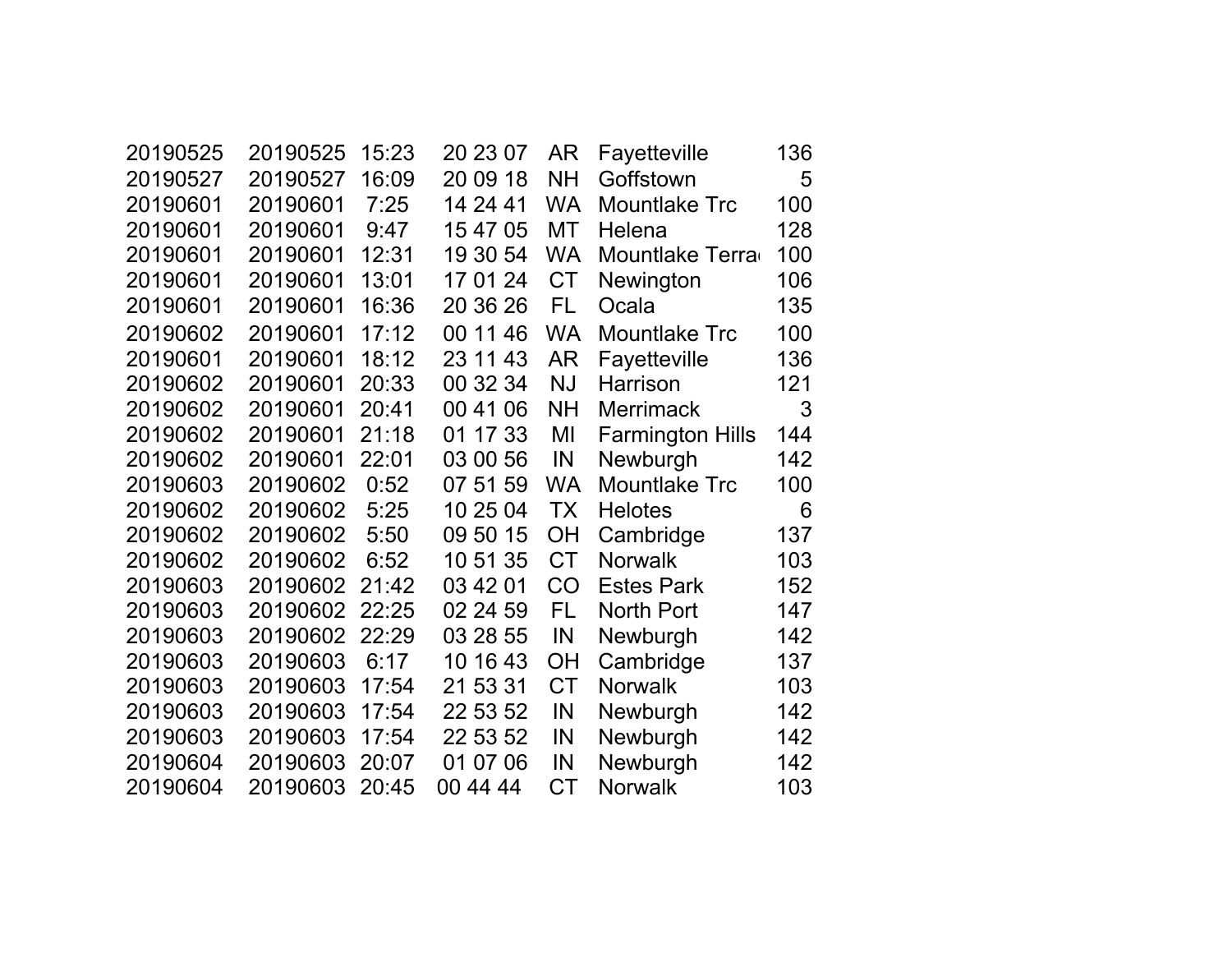| 20190525 | 20190525 | 15:23 | 20 23 07 | AR        | Fayetteville            | 136 |
|----------|----------|-------|----------|-----------|-------------------------|-----|
| 20190527 | 20190527 | 16:09 | 20 09 18 | <b>NH</b> | Goffstown               | 5   |
| 20190601 | 20190601 | 7:25  | 14 24 41 | <b>WA</b> | <b>Mountlake Trc</b>    | 100 |
| 20190601 | 20190601 | 9:47  | 15 47 05 | МT        | Helena                  | 128 |
| 20190601 | 20190601 | 12:31 | 19 30 54 | <b>WA</b> | Mountlake Terra         | 100 |
| 20190601 | 20190601 | 13:01 | 17 01 24 | <b>CT</b> | Newington               | 106 |
| 20190601 | 20190601 | 16:36 | 20 36 26 | <b>FL</b> | Ocala                   | 135 |
| 20190602 | 20190601 | 17:12 | 00 11 46 | <b>WA</b> | <b>Mountlake Trc</b>    | 100 |
| 20190601 | 20190601 | 18:12 | 23 11 43 | AR        | Fayetteville            | 136 |
| 20190602 | 20190601 | 20:33 | 00 32 34 | <b>NJ</b> | <b>Harrison</b>         | 121 |
| 20190602 | 20190601 | 20:41 | 00 41 06 | <b>NH</b> | <b>Merrimack</b>        | 3   |
| 20190602 | 20190601 | 21:18 | 01 17 33 | MI        | <b>Farmington Hills</b> | 144 |
| 20190602 | 20190601 | 22:01 | 03 00 56 | IN        | Newburgh                | 142 |
| 20190603 | 20190602 | 0:52  | 07 51 59 | <b>WA</b> | <b>Mountlake Trc</b>    | 100 |
| 20190602 | 20190602 | 5:25  | 10 25 04 | <b>TX</b> | <b>Helotes</b>          | 6   |
| 20190602 | 20190602 | 5:50  | 09 50 15 | OH        | Cambridge               | 137 |
| 20190602 | 20190602 | 6:52  | 10 51 35 | <b>CT</b> | <b>Norwalk</b>          | 103 |
| 20190603 | 20190602 | 21:42 | 03 42 01 | CO        | <b>Estes Park</b>       | 152 |
| 20190603 | 20190602 | 22:25 | 02 24 59 | FL        | <b>North Port</b>       | 147 |
| 20190603 | 20190602 | 22:29 | 03 28 55 | IN        | Newburgh                | 142 |
| 20190603 | 20190603 | 6:17  | 10 16 43 | <b>OH</b> | Cambridge               | 137 |
| 20190603 | 20190603 | 17:54 | 21 53 31 | <b>CT</b> | <b>Norwalk</b>          | 103 |
| 20190603 | 20190603 | 17:54 | 22 53 52 | IN        | Newburgh                | 142 |
| 20190603 | 20190603 | 17:54 | 22 53 52 | IN        | Newburgh                | 142 |
| 20190604 | 20190603 | 20:07 | 01 07 06 | IN        | Newburgh                | 142 |
| 20190604 | 20190603 | 20:45 | 00 44 44 | CT        | <b>Norwalk</b>          | 103 |
|          |          |       |          |           |                         |     |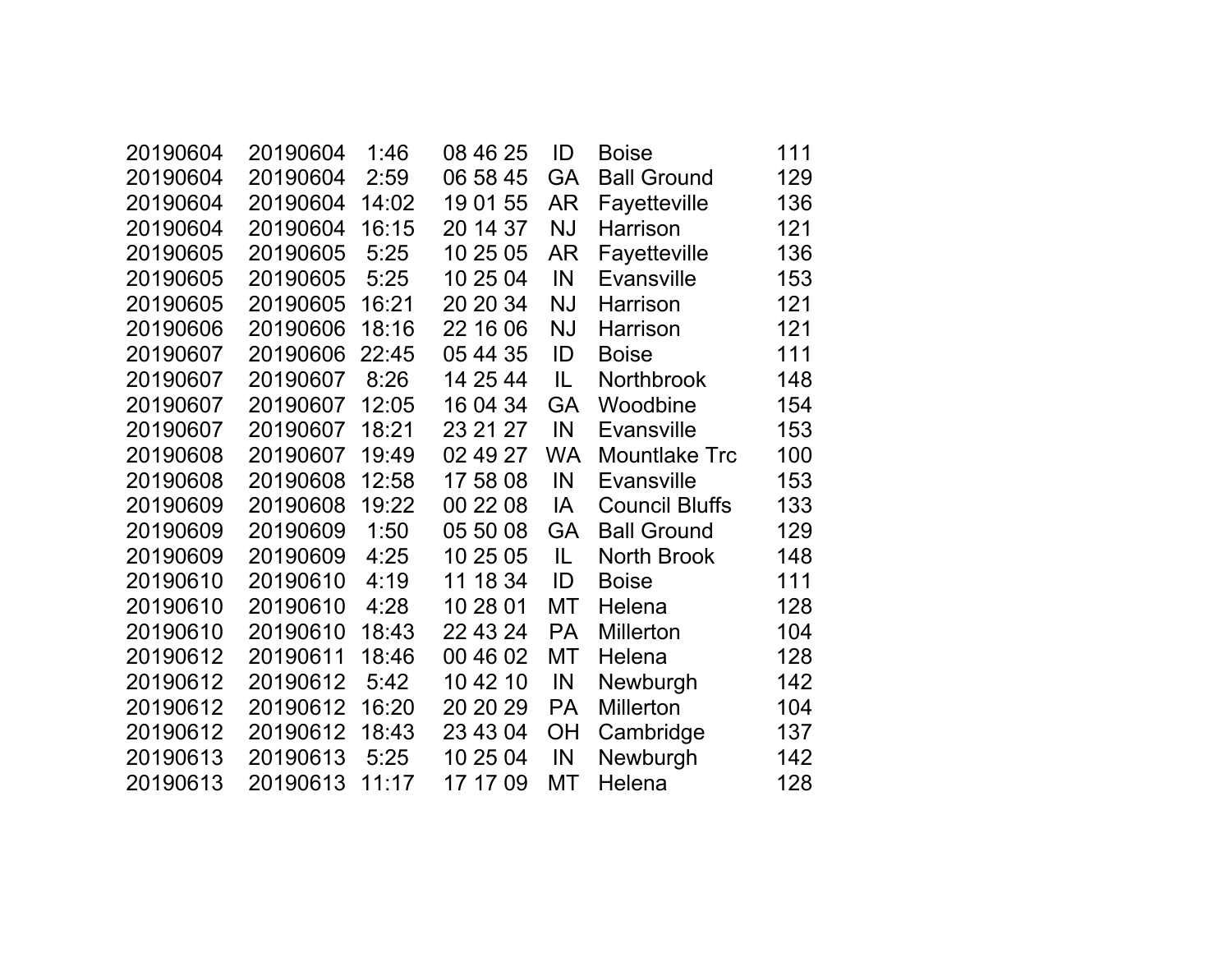| 20190604 | 20190604 | 1:46  | 08 46 25 | ID        | <b>Boise</b>          | 111 |
|----------|----------|-------|----------|-----------|-----------------------|-----|
| 20190604 | 20190604 | 2:59  | 06 58 45 | GA        | <b>Ball Ground</b>    | 129 |
| 20190604 | 20190604 | 14:02 | 19 01 55 | AR        | Fayetteville          | 136 |
| 20190604 | 20190604 | 16:15 | 20 14 37 | <b>NJ</b> | Harrison              | 121 |
| 20190605 | 20190605 | 5:25  | 10 25 05 | AR        | Fayetteville          | 136 |
| 20190605 | 20190605 | 5:25  | 10 25 04 | IN        | <b>Evansville</b>     | 153 |
| 20190605 | 20190605 | 16:21 | 20 20 34 | <b>NJ</b> | Harrison              | 121 |
| 20190606 | 20190606 | 18:16 | 22 16 06 | <b>NJ</b> | Harrison              | 121 |
| 20190607 | 20190606 | 22:45 | 05 44 35 | ID        | <b>Boise</b>          | 111 |
| 20190607 | 20190607 | 8:26  | 14 25 44 | IL        | <b>Northbrook</b>     | 148 |
| 20190607 | 20190607 | 12:05 | 16 04 34 | <b>GA</b> | Woodbine              | 154 |
| 20190607 | 20190607 | 18:21 | 23 21 27 | IN        | Evansville            | 153 |
| 20190608 | 20190607 | 19:49 | 02 49 27 | WA.       | <b>Mountlake Trc</b>  | 100 |
| 20190608 | 20190608 | 12:58 | 17 58 08 | IN        | <b>Evansville</b>     | 153 |
| 20190609 | 20190608 | 19:22 | 00 22 08 | IA        | <b>Council Bluffs</b> | 133 |
| 20190609 | 20190609 | 1:50  | 05 50 08 | <b>GA</b> | <b>Ball Ground</b>    | 129 |
| 20190609 | 20190609 | 4:25  | 10 25 05 | IL        | <b>North Brook</b>    | 148 |
| 20190610 | 20190610 | 4:19  | 11 18 34 | ID        | <b>Boise</b>          | 111 |
| 20190610 | 20190610 | 4:28  | 10 28 01 | МT        | Helena                | 128 |
| 20190610 | 20190610 | 18:43 | 22 43 24 | <b>PA</b> | Millerton             | 104 |
| 20190612 | 20190611 | 18:46 | 00 46 02 | МT        | Helena                | 128 |
| 20190612 | 20190612 | 5:42  | 10 42 10 | IN        | Newburgh              | 142 |
| 20190612 | 20190612 | 16:20 | 20 20 29 | <b>PA</b> | <b>Millerton</b>      | 104 |
| 20190612 | 20190612 | 18:43 | 23 43 04 | <b>OH</b> | Cambridge             | 137 |
| 20190613 | 20190613 | 5:25  | 10 25 04 | IN        | Newburgh              | 142 |
| 20190613 | 20190613 | 11:17 | 17 17 09 | МT        | Helena                | 128 |
|          |          |       |          |           |                       |     |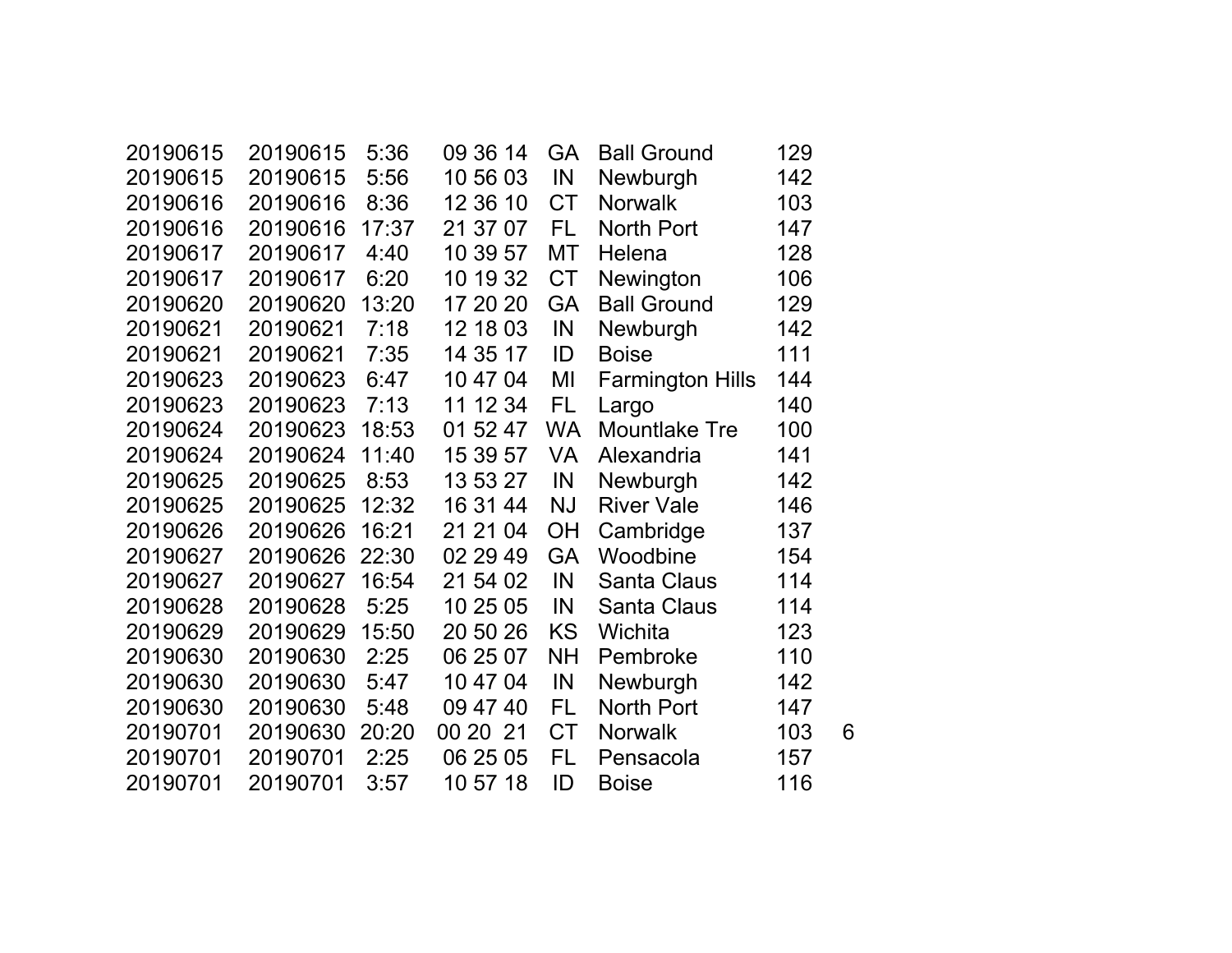| 20190615 | 20190615 | 5:36  | 09 36 14 | <b>GA</b> | <b>Ball Ground</b>      | 129 |   |
|----------|----------|-------|----------|-----------|-------------------------|-----|---|
| 20190615 | 20190615 | 5:56  | 10 56 03 | IN        | Newburgh                | 142 |   |
| 20190616 | 20190616 | 8:36  | 12 36 10 | <b>CT</b> | <b>Norwalk</b>          | 103 |   |
| 20190616 | 20190616 | 17:37 | 21 37 07 | FL        | North Port              | 147 |   |
| 20190617 | 20190617 | 4:40  | 10 39 57 | <b>MT</b> | Helena                  | 128 |   |
| 20190617 | 20190617 | 6:20  | 10 19 32 | <b>CT</b> | Newington               | 106 |   |
| 20190620 | 20190620 | 13:20 | 17 20 20 | <b>GA</b> | <b>Ball Ground</b>      | 129 |   |
| 20190621 | 20190621 | 7:18  | 12 18 03 | IN        | Newburgh                | 142 |   |
| 20190621 | 20190621 | 7:35  | 14 35 17 | ID        | <b>Boise</b>            | 111 |   |
| 20190623 | 20190623 | 6:47  | 10 47 04 | MI        | <b>Farmington Hills</b> | 144 |   |
| 20190623 | 20190623 | 7:13  | 11 12 34 | <b>FL</b> | Largo                   | 140 |   |
| 20190624 | 20190623 | 18:53 | 01 52 47 | <b>WA</b> | <b>Mountlake Tre</b>    | 100 |   |
| 20190624 | 20190624 | 11:40 | 15 39 57 | VA        | Alexandria              | 141 |   |
| 20190625 | 20190625 | 8:53  | 13 53 27 | IN        | Newburgh                | 142 |   |
| 20190625 | 20190625 | 12:32 | 16 31 44 | <b>NJ</b> | <b>River Vale</b>       | 146 |   |
| 20190626 | 20190626 | 16:21 | 21 21 04 | OH        | Cambridge               | 137 |   |
| 20190627 | 20190626 | 22:30 | 02 29 49 | <b>GA</b> | Woodbine                | 154 |   |
| 20190627 | 20190627 | 16:54 | 21 54 02 | IN        | <b>Santa Claus</b>      | 114 |   |
| 20190628 | 20190628 | 5:25  | 10 25 05 | IN        | <b>Santa Claus</b>      | 114 |   |
| 20190629 | 20190629 | 15:50 | 20 50 26 | <b>KS</b> | Wichita                 | 123 |   |
| 20190630 | 20190630 | 2:25  | 06 25 07 | <b>NH</b> | Pembroke                | 110 |   |
| 20190630 | 20190630 | 5:47  | 10 47 04 | IN        | Newburgh                | 142 |   |
| 20190630 | 20190630 | 5:48  | 09 47 40 | FL        | <b>North Port</b>       | 147 |   |
| 20190701 | 20190630 | 20:20 | 00 20 21 | <b>CT</b> | <b>Norwalk</b>          | 103 | 6 |
| 20190701 | 20190701 | 2:25  | 06 25 05 | FL        | Pensacola               | 157 |   |
| 20190701 | 20190701 | 3:57  | 10 57 18 | ID        | <b>Boise</b>            | 116 |   |
|          |          |       |          |           |                         |     |   |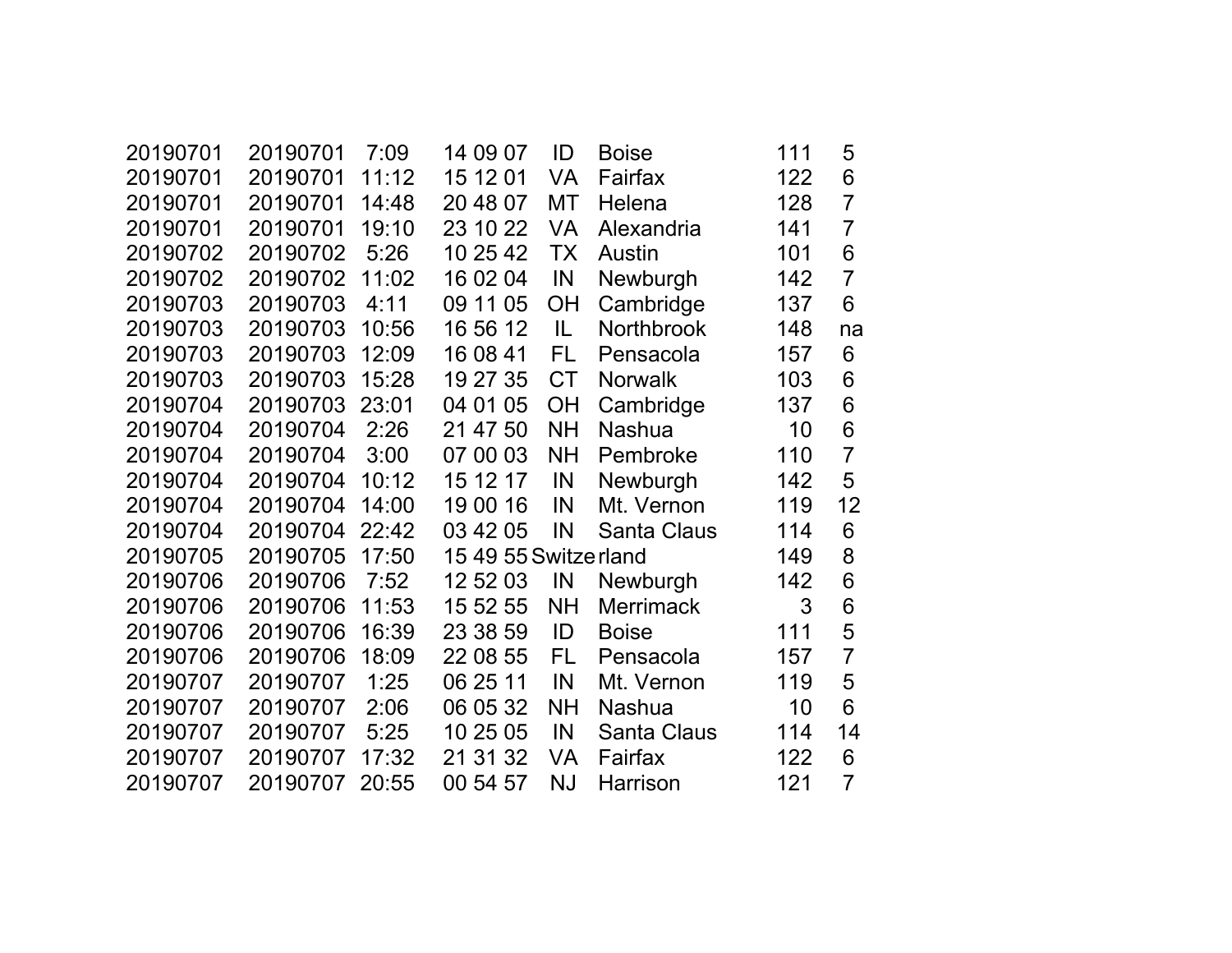| 20190701 | 20190701 | 7:09  | 14 09 07              | ID        | <b>Boise</b>       | 111 | 5              |
|----------|----------|-------|-----------------------|-----------|--------------------|-----|----------------|
| 20190701 | 20190701 | 11:12 | 15 12 01              | VA        | Fairfax            | 122 | 6              |
| 20190701 | 20190701 | 14:48 | 20 48 07              | MT        | Helena             | 128 | $\overline{7}$ |
| 20190701 | 20190701 | 19:10 | 23 10 22              | <b>VA</b> | Alexandria         | 141 | $\overline{7}$ |
| 20190702 | 20190702 | 5:26  | 10 25 42              | <b>TX</b> | Austin             | 101 | 6              |
| 20190702 | 20190702 | 11:02 | 16 02 04              | IN        | Newburgh           | 142 | $\overline{7}$ |
| 20190703 | 20190703 | 4:11  | 09 11 05              | <b>OH</b> | Cambridge          | 137 | 6              |
| 20190703 | 20190703 | 10:56 | 16 56 12              | IL.       | <b>Northbrook</b>  | 148 | na             |
| 20190703 | 20190703 | 12:09 | 16 08 41              | <b>FL</b> | Pensacola          | 157 | 6              |
| 20190703 | 20190703 | 15:28 | 19 27 35              | <b>CT</b> | <b>Norwalk</b>     | 103 | 6              |
| 20190704 | 20190703 | 23:01 | 04 01 05              | <b>OH</b> | Cambridge          | 137 | 6              |
| 20190704 | 20190704 | 2:26  | 21 47 50              | <b>NH</b> | <b>Nashua</b>      | 10  | 6              |
| 20190704 | 20190704 | 3:00  | 07 00 03              | <b>NH</b> | Pembroke           | 110 | $\overline{7}$ |
| 20190704 | 20190704 | 10:12 | 15 12 17              | IN        | Newburgh           | 142 | 5              |
| 20190704 | 20190704 | 14:00 | 19 00 16              | IN        | Mt. Vernon         | 119 | 12             |
| 20190704 | 20190704 | 22:42 | 03 42 05              | IN        | <b>Santa Claus</b> | 114 | 6              |
| 20190705 | 20190705 | 17:50 | 15 49 55 Switze rland |           |                    | 149 | 8              |
| 20190706 | 20190706 | 7:52  | 12 52 03              | IN        | Newburgh           | 142 | 6              |
| 20190706 | 20190706 | 11:53 | 15 52 55              | <b>NH</b> | <b>Merrimack</b>   | 3   | 6              |
| 20190706 | 20190706 | 16:39 | 23 38 59              | ID        | <b>Boise</b>       | 111 | 5              |
| 20190706 | 20190706 | 18:09 | 22 08 55              | FL        | Pensacola          | 157 | $\overline{7}$ |
| 20190707 | 20190707 | 1:25  | 06 25 11              | IN        | Mt. Vernon         | 119 | 5              |
| 20190707 | 20190707 | 2:06  | 06 05 32              | <b>NH</b> | <b>Nashua</b>      | 10  | 6              |
| 20190707 | 20190707 | 5:25  | 10 25 05              | IN        | <b>Santa Claus</b> | 114 | 14             |
| 20190707 | 20190707 | 17:32 | 21 31 32              | VA        | Fairfax            | 122 | 6              |
| 20190707 | 20190707 | 20:55 | 00 54 57              | <b>NJ</b> | Harrison           | 121 | $\overline{7}$ |
|          |          |       |                       |           |                    |     |                |